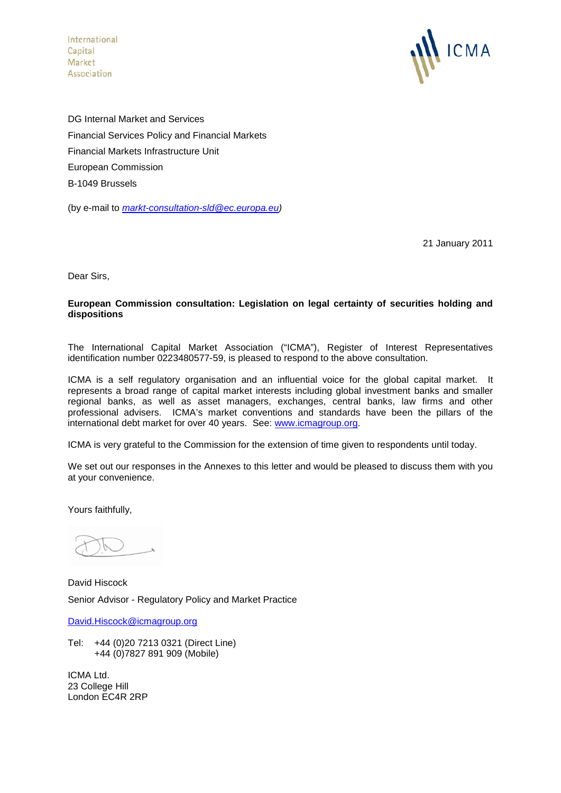International Capital Market Association



DG Internal Market and Services Financial Services Policy and Financial Markets Financial Markets Infrastructure Unit European Commission B-1049 Brussels

(by e-mail to *[markt-consultation-sld@ec.europa.eu\)](mailto:markt-consultation-sld@ec.europa.eu)*

21 January 2011

Dear Sirs,

### **European Commission consultation: Legislation on legal certainty of securities holding and dispositions**

The International Capital Market Association ("ICMA"), Register of Interest Representatives identification number 0223480577-59, is pleased to respond to the above consultation.

ICMA is a self regulatory organisation and an influential voice for the global capital market. It represents a broad range of capital market interests including global investment banks and smaller regional banks, as well as asset managers, exchanges, central banks, law firms and other professional advisers. ICMA's market conventions and standards have been the pillars of the international debt market for over 40 years. See: [www.icmagroup.org.](http://www.icmagroup.org/)

ICMA is very grateful to the Commission for the extension of time given to respondents until today.

We set out our responses in the Annexes to this letter and would be pleased to discuss them with you at your convenience.

Yours faithfully,

David Hiscock Senior Advisor - Regulatory Policy and Market Practice

[David.Hiscock@icmagroup.org](mailto:David.Hiscock@icmagroup.org)

Tel: +44 (0)20 7213 0321 (Direct Line) +44 (0)7827 891 909 (Mobile)

ICMA Ltd. 23 College Hill London EC4R 2RP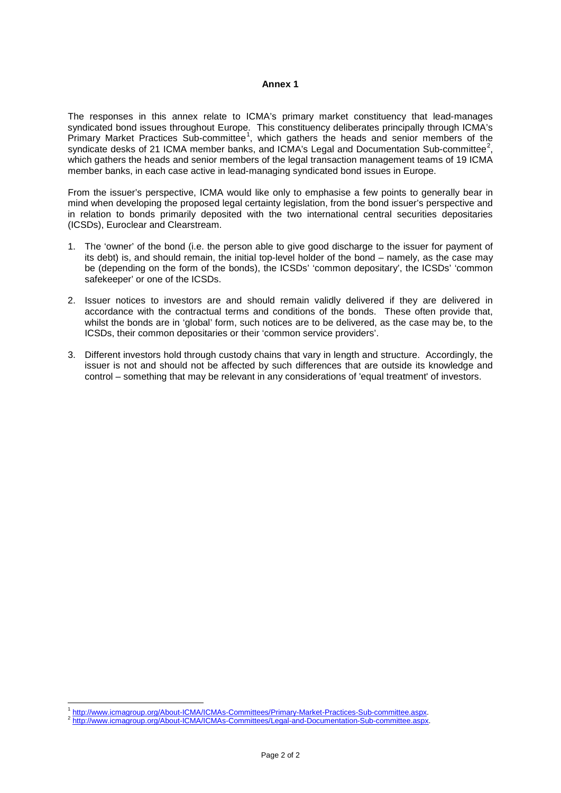#### **Annex 1**

The responses in this annex relate to ICMA's primary market constituency that lead-manages syndicated bond issues throughout Europe. This constituency deliberates principally through ICMA's Primary Market Practices Sub-committee<sup>[1](#page-1-0)</sup>, which gathers the heads and senior members of the syndicate desks of [2](#page-1-1)1 ICMA member banks, and ICMA's Legal and Documentation Sub-committee<sup>2</sup>, which gathers the heads and senior members of the legal transaction management teams of 19 ICMA member banks, in each case active in lead-managing syndicated bond issues in Europe.

From the issuer's perspective, ICMA would like only to emphasise a few points to generally bear in mind when developing the proposed legal certainty legislation, from the bond issuer's perspective and in relation to bonds primarily deposited with the two international central securities depositaries (ICSDs), Euroclear and Clearstream.

- 1. The 'owner' of the bond (i.e. the person able to give good discharge to the issuer for payment of its debt) is, and should remain, the initial top-level holder of the bond – namely, as the case may be (depending on the form of the bonds), the ICSDs' 'common depositary', the ICSDs' 'common safekeeper' or one of the ICSDs.
- 2. Issuer notices to investors are and should remain validly delivered if they are delivered in accordance with the contractual terms and conditions of the bonds. These often provide that, whilst the bonds are in 'global' form, such notices are to be delivered, as the case may be, to the ICSDs, their common depositaries or their 'common service providers'.
- 3. Different investors hold through custody chains that vary in length and structure. Accordingly, the issuer is not and should not be affected by such differences that are outside its knowledge and control – something that may be relevant in any considerations of 'equal treatment' of investors.

.<br>-

<sup>&</sup>lt;sup>1</sup> [http://www.icmagroup.org/About-ICMA/ICMAs-Committees/Primary-Market-Practices-Sub-committee.aspx.](http://www.icmagroup.org/About-ICMA/ICMAs-Committees/Primary-Market-Practices-Sub-committee.aspx)<br><sup>2</sup> [http://www.icmagroup.org/About-ICMA/ICMAs-Committees/Legal-and-Documentation-Sub-committee.aspx.](http://www.icmagroup.org/About-ICMA/ICMAs-Committees/Legal-and-Documentation-Sub-committee.aspx)

<span id="page-1-1"></span><span id="page-1-0"></span>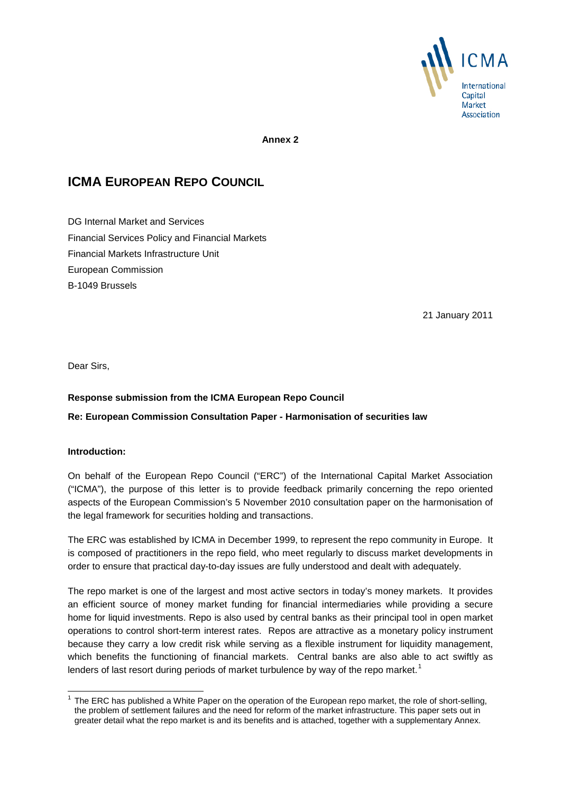

**Annex 2**

# **ICMA EUROPEAN REPO COUNCIL**

DG Internal Market and Services Financial Services Policy and Financial Markets Financial Markets Infrastructure Unit European Commission B-1049 Brussels

21 January 2011

Dear Sirs,

## **Response submission from the ICMA European Repo Council**

## **Re: European Commission Consultation Paper - Harmonisation of securities law**

#### **Introduction:**

On behalf of the European Repo Council ("ERC") of the International Capital Market Association ("ICMA"), the purpose of this letter is to provide feedback primarily concerning the repo oriented aspects of the European Commission's 5 November 2010 consultation paper on the harmonisation of the legal framework for securities holding and transactions.

The ERC was established by ICMA in December 1999, to represent the repo community in Europe. It is composed of practitioners in the repo field, who meet regularly to discuss market developments in order to ensure that practical day-to-day issues are fully understood and dealt with adequately.

The repo market is one of the largest and most active sectors in today's money markets. It provides an efficient source of money market funding for financial intermediaries while providing a secure home for liquid investments. Repo is also used by central banks as their principal tool in open market operations to control short-term interest rates. Repos are attractive as a monetary policy instrument because they carry a low credit risk while serving as a flexible instrument for liquidity management, which benefits the functioning of financial markets. Central banks are also able to act swiftly as lenders of last resort during periods of market turbulence by way of the repo market.<sup>[1](#page-2-0)</sup>

<span id="page-2-0"></span> $<sup>1</sup>$  The ERC has published a White Paper on the operation of the European repo market, the role of short-selling,</sup> the problem of settlement failures and the need for reform of the market infrastructure. This paper sets out in greater detail what the repo market is and its benefits and is attached, together with a supplementary Annex.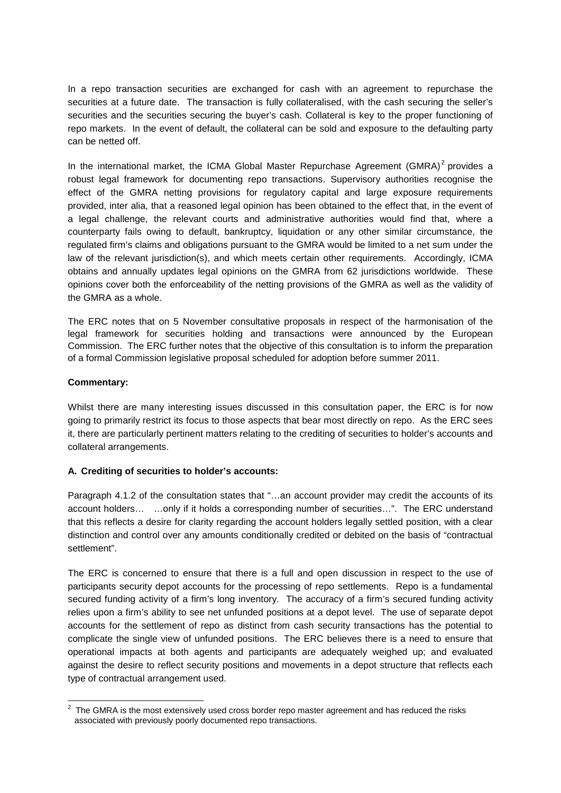In a repo transaction securities are exchanged for cash with an agreement to repurchase the securities at a future date. The transaction is fully collateralised, with the cash securing the seller's securities and the securities securing the buyer's cash. Collateral is key to the proper functioning of repo markets. In the event of default, the collateral can be sold and exposure to the defaulting party can be netted off.

In the international market, the ICMA Global Master Repurchase Agreement (GMRA) $2$  provides a robust legal framework for documenting repo transactions. Supervisory authorities recognise the effect of the GMRA netting provisions for regulatory capital and large exposure requirements provided, inter alia, that a reasoned legal opinion has been obtained to the effect that, in the event of a legal challenge, the relevant courts and administrative authorities would find that, where a counterparty fails owing to default, bankruptcy, liquidation or any other similar circumstance, the regulated firm's claims and obligations pursuant to the GMRA would be limited to a net sum under the law of the relevant jurisdiction(s), and which meets certain other requirements. Accordingly, ICMA obtains and annually updates legal opinions on the GMRA from 62 jurisdictions worldwide. These opinions cover both the enforceability of the netting provisions of the GMRA as well as the validity of the GMRA as a whole.

The ERC notes that on 5 November consultative proposals in respect of the harmonisation of the legal framework for securities holding and transactions were announced by the European Commission. The ERC further notes that the objective of this consultation is to inform the preparation of a formal Commission legislative proposal scheduled for adoption before summer 2011.

## **Commentary:**

Whilst there are many interesting issues discussed in this consultation paper, the ERC is for now going to primarily restrict its focus to those aspects that bear most directly on repo. As the ERC sees it, there are particularly pertinent matters relating to the crediting of securities to holder's accounts and collateral arrangements.

# **A. Crediting of securities to holder's accounts:**

Paragraph 4.1.2 of the consultation states that "…an account provider may credit the accounts of its account holders… …only if it holds a corresponding number of securities…". The ERC understand that this reflects a desire for clarity regarding the account holders legally settled position, with a clear distinction and control over any amounts conditionally credited or debited on the basis of "contractual settlement".

The ERC is concerned to ensure that there is a full and open discussion in respect to the use of participants security depot accounts for the processing of repo settlements. Repo is a fundamental secured funding activity of a firm's long inventory. The accuracy of a firm's secured funding activity relies upon a firm's ability to see net unfunded positions at a depot level. The use of separate depot accounts for the settlement of repo as distinct from cash security transactions has the potential to complicate the single view of unfunded positions. The ERC believes there is a need to ensure that operational impacts at both agents and participants are adequately weighed up; and evaluated against the desire to reflect security positions and movements in a depot structure that reflects each type of contractual arrangement used.

<span id="page-3-0"></span> $\overline{\hspace{1cm}}^2$  The GMRA is the most extensively used cross border repo master agreement and has reduced the risks associated with previously poorly documented repo transactions.